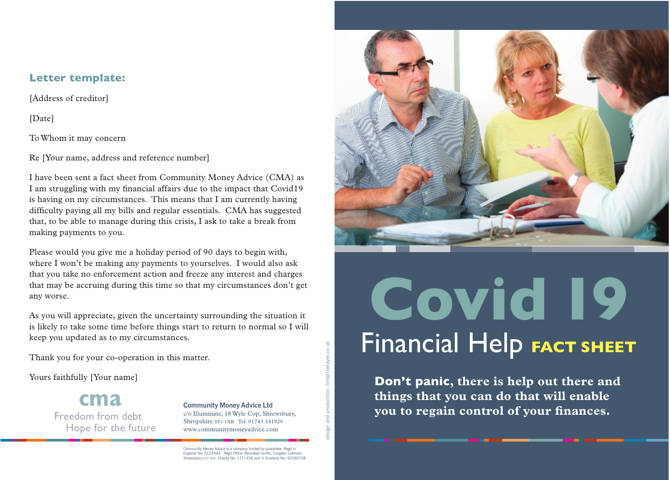# **Letter template:**

[Address of creditor]

[Date]

To Whom it may concern

Re [Your name, address and reference number]

I have been sent a fact sheet from Community Money Advice (CMA) as I am struggling with my financial affairs due to the impact that Covid19 is having on my circumstances. This means that I am currently having difficulty paying all my bills and regular essentials. CMA has suggested that, to be able to manage during this crisis, I ask to take a break from making payments to you.

Please would you give me a holiday period of 90 days to begin with, where I won't be making any payments to yourselves. I would also ask that you take no enforcement action and freeze any interest and charges that may be accruing during this time so that my circumstances don't get any worse.

As you will appreciate, given the uncertainty surrounding the situation it is likely to take some time before things start to return to normal so I will keep you updated as to my circumstances.

Thank you for your co-operation in this matter.

Yours faithfully [Your name]

**cma** Freedom from debt Hope for the future

#### **Community Money Advice Ltd** c/o Illuminate, 18Wyle Cop, Shrewsbury,

Shropshire SY1 1XB Tel: 01743 341929 www.communitymoneyadvice.com

design and production: tim@thefayre.co.uk

design and production: tim@thefayre.co.uk

Community Money Advice is a company limited by guarantee. Regd in England No: 5123444. Regd Office: Barnabas Centre, Longden Coleham, Shrewsbury SY3 7DN Charity No: 1111436 and in Scotland No: SCO40728



# Financial Help **FACT SHEET Covid 19**

**Don't panic, there is help out there and things that you can do that will enable you to regain control of your finances.**